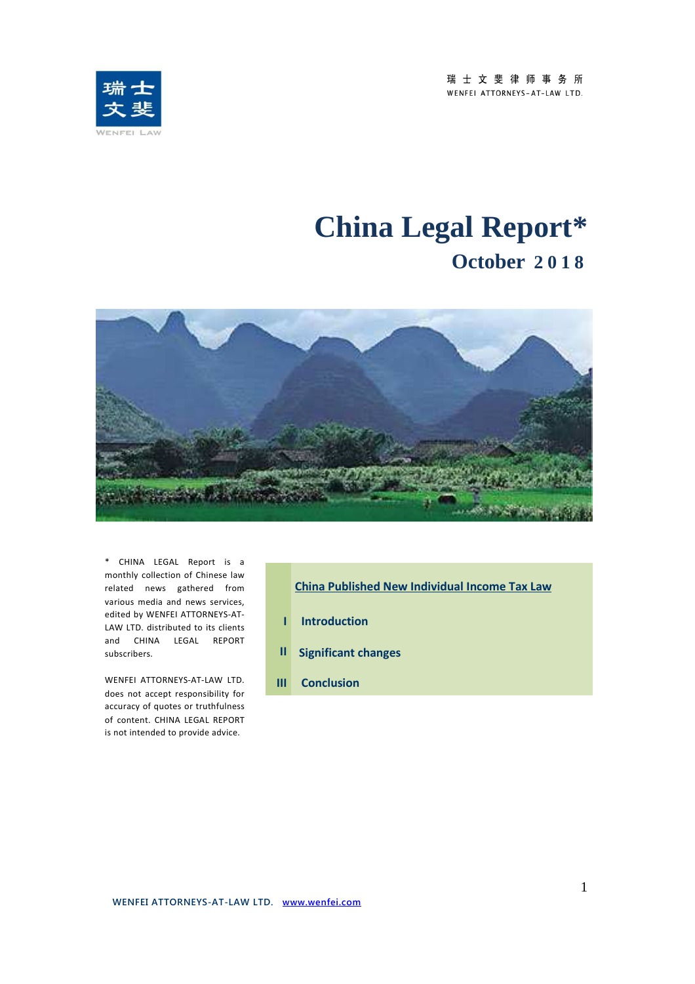瑞士文斐律师事务所 WENFEI ATTORNEYS-AT-LAW LTD.



# **China Legal Report\* October 2 0 1 8**



\* CHINA LEGAL Report is a monthly collection of Chinese law related news gathered from various media and news services, edited by WENFEI ATTORNEYS-AT-LAW LTD. distributed to its clients and CHINA LEGAL REPORT subscribers.

 accuracy of quotes or truthfulness WENFEI ATTORNEYS-AT-LAW LTD. does not accept responsibility for of content. CHINA LEGAL REPORT is not intended to provide advice.

- **China Published New Individual Income Tax Law I Introduction II Significant changes**
- 

**III Conclusion**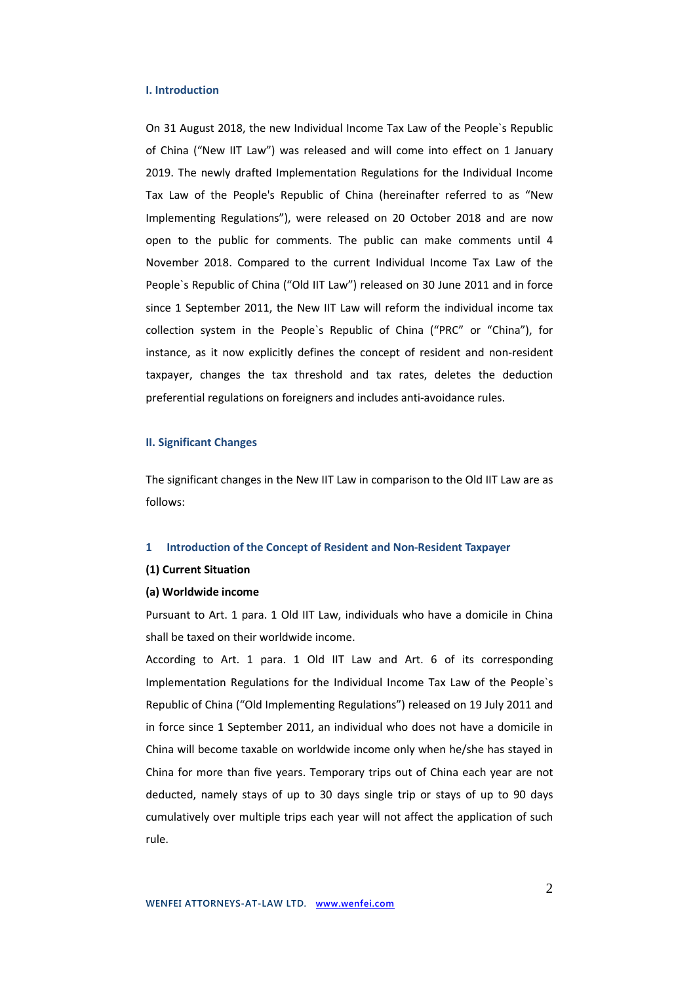## **I. Introduction**

On 31 August 2018, the new Individual Income Tax Law of the People`s Republic of China ("New IIT Law") was released and will come into effect on 1 January 2019. The newly drafted Implementation Regulations for the Individual Income Tax Law of the People's Republic of China (hereinafter referred to as "New Implementing Regulations"), were released on 20 October 2018 and are now open to the public for comments. The public can make comments until 4 November 2018. Compared to the current Individual Income Tax Law of the People`s Republic of China ("Old IIT Law") released on 30 June 2011 and in force since 1 September 2011, the New IIT Law will reform the individual income tax collection system in the People`s Republic of China ("PRC" or "China"), for instance, as it now explicitly defines the concept of resident and non-resident taxpayer, changes the tax threshold and tax rates, deletes the deduction preferential regulations on foreigners and includes anti-avoidance rules.

## **II. Significant Changes**

The significant changes in the New IIT Law in comparison to the Old IIT Law are as follows:

# **1 Introduction of the Concept of Resident and Non-Resident Taxpayer**

## **(1) Current Situation**

# **(a) Worldwide income**

Pursuant to Art. 1 para. 1 Old IIT Law, individuals who have a domicile in China shall be taxed on their worldwide income.

According to Art. 1 para. 1 Old IIT Law and Art. 6 of its corresponding Implementation Regulations for the Individual Income Tax Law of the People`s Republic of China ("Old Implementing Regulations") released on 19 July 2011 and in force since 1 September 2011, an individual who does not have a domicile in China will become taxable on worldwide income only when he/she has stayed in China for more than five years. Temporary trips out of China each year are not deducted, namely stays of up to 30 days single trip or stays of up to 90 days cumulatively over multiple trips each year will not affect the application of such rule.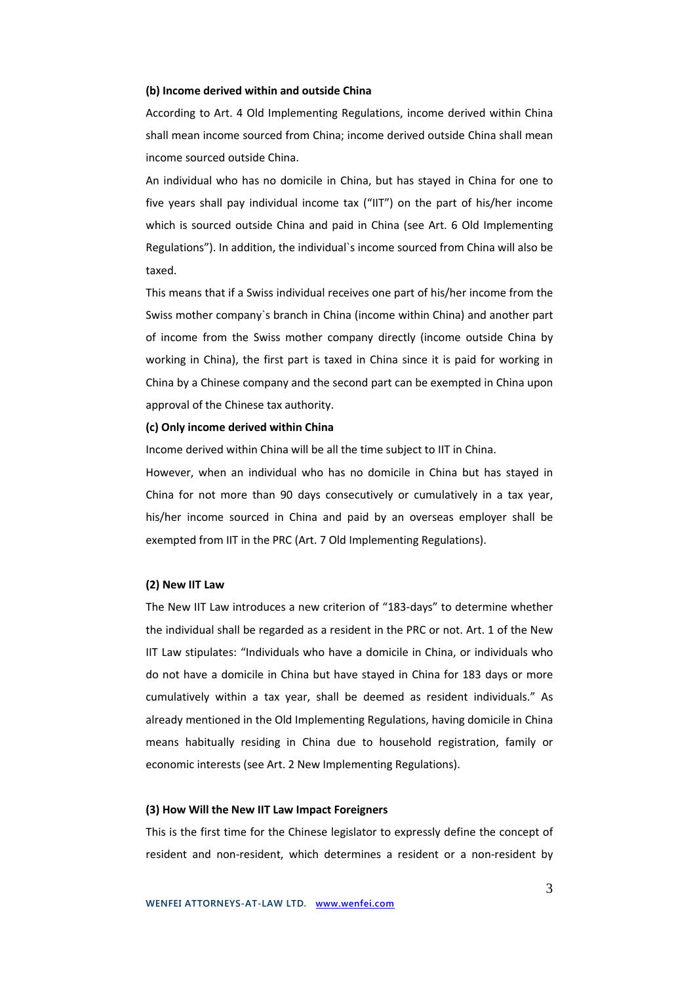### **(b) Income derived within and outside China**

According to Art. 4 Old Implementing Regulations, income derived within China shall mean income sourced from China; income derived outside China shall mean income sourced outside China.

An individual who has no domicile in China, but has stayed in China for one to five years shall pay individual income tax ("IIT") on the part of his/her income which is sourced outside China and paid in China (see Art. 6 Old Implementing Regulations"). In addition, the individual`s income sourced from China will also be taxed.

This means that if a Swiss individual receives one part of his/her income from the Swiss mother company`s branch in China (income within China) and another part of income from the Swiss mother company directly (income outside China by working in China), the first part is taxed in China since it is paid for working in China by a Chinese company and the second part can be exempted in China upon approval of the Chinese tax authority.

# **(c) Only income derived within China**

Income derived within China will be all the time subject to IIT in China.

However, when an individual who has no domicile in China but has stayed in China for not more than 90 days consecutively or cumulatively in a tax year, his/her income sourced in China and paid by an overseas employer shall be exempted from IIT in the PRC (Art. 7 Old Implementing Regulations).

# **(2) New IIT Law**

The New IIT Law introduces a new criterion of "183-days" to determine whether the individual shall be regarded as a resident in the PRC or not. Art. 1 of the New IIT Law stipulates: "Individuals who have a domicile in China, or individuals who do not have a domicile in China but have stayed in China for 183 days or more cumulatively within a tax year, shall be deemed as resident individuals." As already mentioned in the Old Implementing Regulations, having domicile in China means habitually residing in China due to household registration, family or economic interests (see Art. 2 New Implementing Regulations).

## **(3) How Will the New IIT Law Impact Foreigners**

This is the first time for the Chinese legislator to expressly define the concept of resident and non-resident, which determines a resident or a non-resident by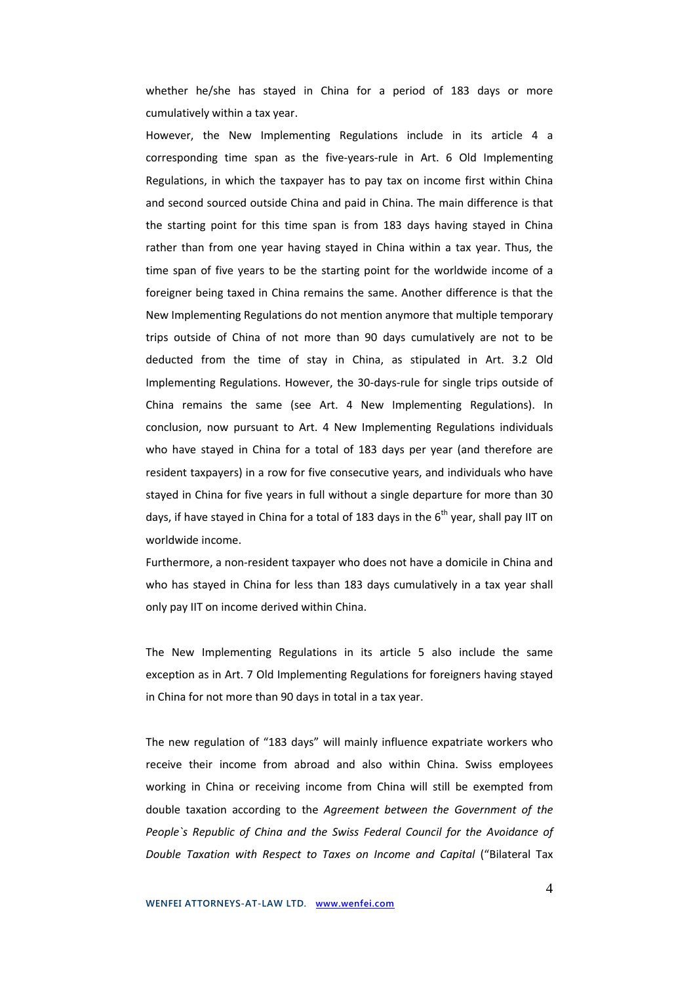whether he/she has stayed in China for a period of 183 days or more cumulatively within a tax year.

However, the New Implementing Regulations include in its article 4 a corresponding time span as the five-years-rule in Art. 6 Old Implementing Regulations, in which the taxpayer has to pay tax on income first within China and second sourced outside China and paid in China. The main difference is that the starting point for this time span is from 183 days having stayed in China rather than from one year having stayed in China within a tax year. Thus, the time span of five years to be the starting point for the worldwide income of a foreigner being taxed in China remains the same. Another difference is that the New Implementing Regulations do not mention anymore that multiple temporary trips outside of China of not more than 90 days cumulatively are not to be deducted from the time of stay in China, as stipulated in Art. 3.2 Old Implementing Regulations. However, the 30-days-rule for single trips outside of China remains the same (see Art. 4 New Implementing Regulations). In conclusion, now pursuant to Art. 4 New Implementing Regulations individuals who have stayed in China for a total of 183 days per year (and therefore are resident taxpayers) in a row for five consecutive years, and individuals who have stayed in China for five years in full without a single departure for more than 30 days, if have stayed in China for a total of 183 days in the  $6<sup>th</sup>$  year, shall pay IIT on worldwide income.

Furthermore, a non-resident taxpayer who does not have a domicile in China and who has stayed in China for less than 183 days cumulatively in a tax year shall only pay IIT on income derived within China.

The New Implementing Regulations in its article 5 also include the same exception as in Art. 7 Old Implementing Regulations for foreigners having stayed in China for not more than 90 days in total in a tax year.

The new regulation of "183 days" will mainly influence expatriate workers who receive their income from abroad and also within China. Swiss employees working in China or receiving income from China will still be exempted from double taxation according to the *Agreement between the Government of the People`s Republic of China and the Swiss Federal Council for the Avoidance of Double Taxation with Respect to Taxes on Income and Capital* ("Bilateral Tax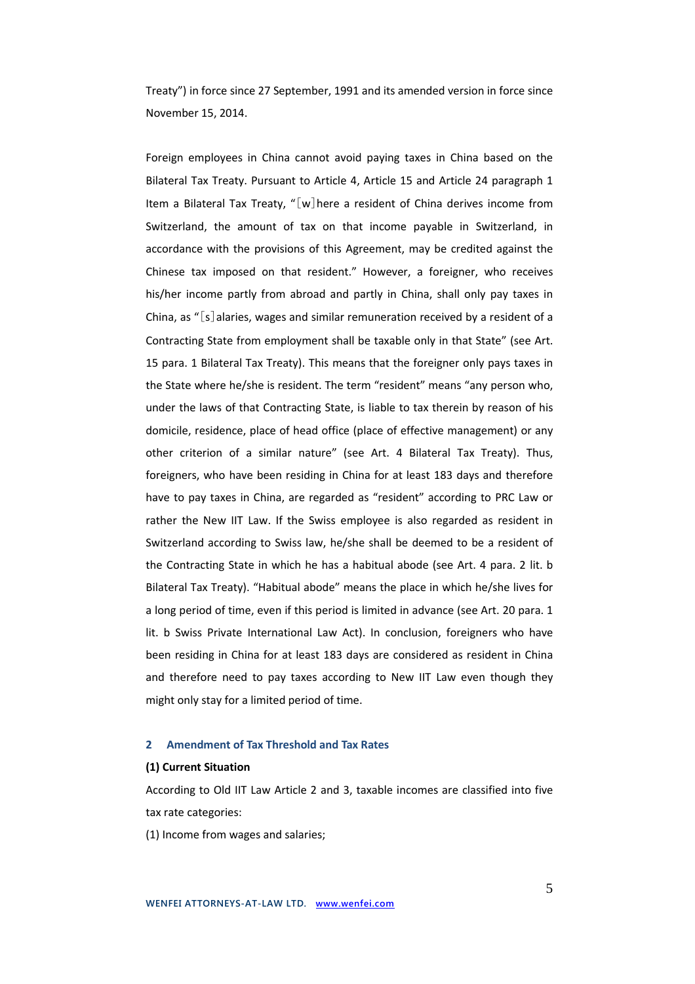Treaty") in force since 27 September, 1991 and its amended version in force since November 15, 2014.

Foreign employees in China cannot avoid paying taxes in China based on the Bilateral Tax Treaty. Pursuant to Article 4, Article 15 and Article 24 paragraph 1 Item a Bilateral Tax Treaty, "[w]here a resident of China derives income from Switzerland, the amount of tax on that income payable in Switzerland, in accordance with the provisions of this Agreement, may be credited against the Chinese tax imposed on that resident." However, a foreigner, who receives his/her income partly from abroad and partly in China, shall only pay taxes in China, as " $[s]$  alaries, wages and similar remuneration received by a resident of a Contracting State from employment shall be taxable only in that State" (see Art. 15 para. 1 Bilateral Tax Treaty). This means that the foreigner only pays taxes in the State where he/she is resident. The term "resident" means "any person who, under the laws of that Contracting State, is liable to tax therein by reason of his domicile, residence, place of head office (place of effective management) or any other criterion of a similar nature" (see Art. 4 Bilateral Tax Treaty). Thus, foreigners, who have been residing in China for at least 183 days and therefore have to pay taxes in China, are regarded as "resident" according to PRC Law or rather the New IIT Law. If the Swiss employee is also regarded as resident in Switzerland according to Swiss law, he/she shall be deemed to be a resident of the Contracting State in which he has a habitual abode (see Art. 4 para. 2 lit. b Bilateral Tax Treaty). "Habitual abode" means the place in which he/she lives for a long period of time, even if this period is limited in advance (see Art. 20 para. 1 lit. b Swiss Private International Law Act). In conclusion, foreigners who have been residing in China for at least 183 days are considered as resident in China and therefore need to pay taxes according to New IIT Law even though they might only stay for a limited period of time.

# **2 Amendment of Tax Threshold and Tax Rates**

## **(1) Current Situation**

According to Old IIT Law Article 2 and 3, taxable incomes are classified into five tax rate categories:

(1) Income from wages and salaries;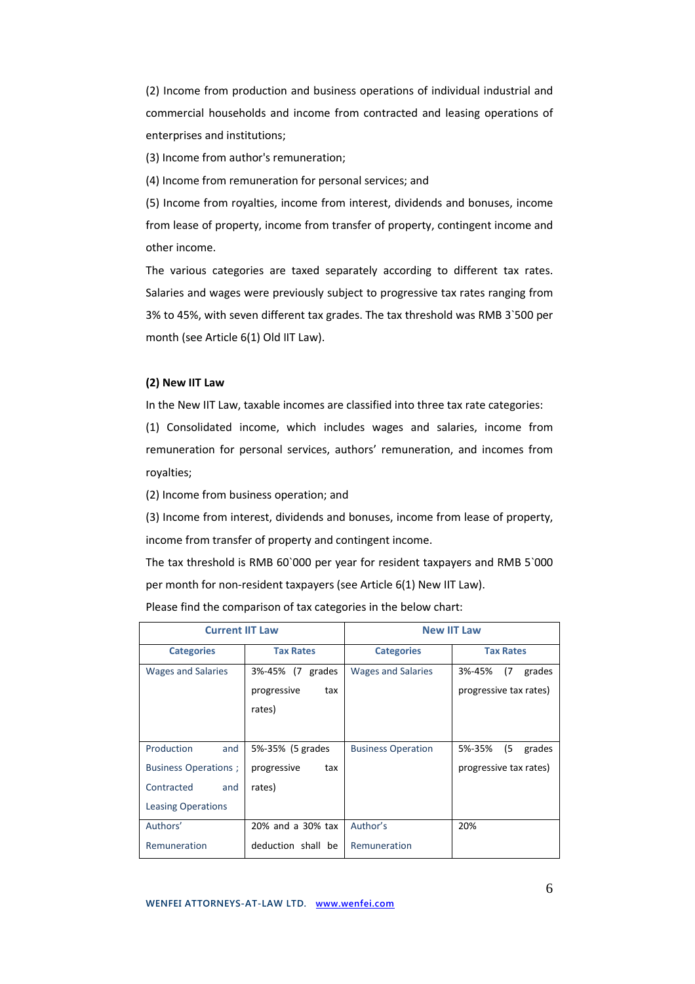(2) Income from production and business operations of individual industrial and commercial households and income from contracted and leasing operations of enterprises and institutions;

(3) Income from author's remuneration;

(4) Income from remuneration for personal services; and

(5) Income from royalties, income from interest, dividends and bonuses, income from lease of property, income from transfer of property, contingent income and other income.

The various categories are taxed separately according to different tax rates. Salaries and wages were previously subject to progressive tax rates ranging from 3% to 45%, with seven different tax grades. The tax threshold was RMB 3`500 per month (see Article 6(1) Old IIT Law).

# **(2) New IIT Law**

In the New IIT Law, taxable incomes are classified into three tax rate categories:

(1) Consolidated income, which includes wages and salaries, income from remuneration for personal services, authors' remuneration, and incomes from royalties;

(2) Income from business operation; and

(3) Income from interest, dividends and bonuses, income from lease of property, income from transfer of property and contingent income.

The tax threshold is RMB 60`000 per year for resident taxpayers and RMB 5`000 per month for non-resident taxpayers (see Article 6(1) New IIT Law).

Please find the comparison of tax categories in the below chart:

| <b>Current IIT Law</b>      |                     | <b>New IIT Law</b>        |                         |  |
|-----------------------------|---------------------|---------------------------|-------------------------|--|
| <b>Categories</b>           | <b>Tax Rates</b>    | <b>Categories</b>         | <b>Tax Rates</b>        |  |
| <b>Wages and Salaries</b>   | 3%-45% (7<br>grades | Wages and Salaries        | 3%-45%<br>(7)<br>grades |  |
|                             | progressive<br>tax  |                           | progressive tax rates)  |  |
|                             | rates)              |                           |                         |  |
|                             |                     |                           |                         |  |
| Production<br>and           | 5%-35% (5 grades    | <b>Business Operation</b> | (5)<br>5%-35%<br>grades |  |
| <b>Business Operations;</b> | progressive<br>tax  |                           | progressive tax rates)  |  |
| Contracted<br>and           | rates)              |                           |                         |  |
| <b>Leasing Operations</b>   |                     |                           |                         |  |
| Authors'                    | 20% and a 30% tax   | Author's                  | 20%                     |  |
| Remuneration                | deduction shall be  | Remuneration              |                         |  |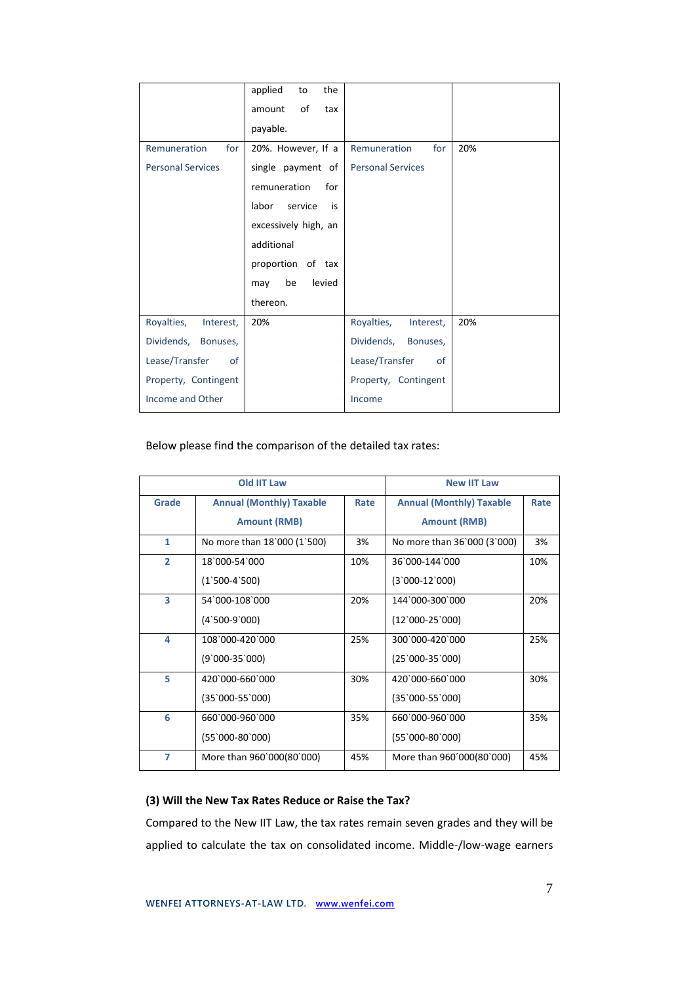|                          | applied<br>the<br>to   |                          |     |
|--------------------------|------------------------|--------------------------|-----|
|                          | of<br>tax<br>amount    |                          |     |
|                          | payable.               |                          |     |
| for<br>Remuneration      | 20%. However, If a     | for<br>Remuneration      | 20% |
| <b>Personal Services</b> | single payment of      | <b>Personal Services</b> |     |
|                          | remuneration<br>for    |                          |     |
|                          | labor<br>service<br>is |                          |     |
|                          | excessively high, an   |                          |     |
|                          | additional             |                          |     |
|                          | proportion of tax      |                          |     |
|                          | be<br>levied<br>may    |                          |     |
|                          | thereon.               |                          |     |
| Royalties,<br>Interest,  | 20%                    | Royalties,<br>Interest,  | 20% |
| Dividends,<br>Bonuses,   |                        | Dividends,<br>Bonuses,   |     |
| Lease/Transfer<br>of     |                        | Lease/Transfer<br>of     |     |
| Property, Contingent     |                        | Property, Contingent     |     |
| Income and Other         |                        | Income                   |     |

Below please find the comparison of the detailed tax rates:

| Old IIT Law    |                                 | <b>New IIT Law</b> |                                 |      |
|----------------|---------------------------------|--------------------|---------------------------------|------|
| Grade          | <b>Annual (Monthly) Taxable</b> | Rate               | <b>Annual (Monthly) Taxable</b> | Rate |
|                | <b>Amount (RMB)</b>             |                    | <b>Amount (RMB)</b>             |      |
| $\mathbf{1}$   | No more than 18'000 (1'500)     | 3%                 | No more than 36`000 (3`000)     | 3%   |
| $\overline{2}$ | 18'000-54'000                   | 10%                | 36`000-144`000                  | 10%  |
|                | $(1^500-4^500)$                 |                    | $(3'000-12'000)$                |      |
| 3              | 54`000-108`000                  | 20%                | 144`000-300`000                 | 20%  |
|                | $(4^500-9^000)$                 |                    | $(12'000-25'000)$               |      |
| 4              | 108`000-420`000                 | 25%                | 300`000-420`000                 | 25%  |
|                | (9`000-35`000)                  |                    | $(25'000-35'000)$               |      |
| 5              | 420`000-660`000                 | 30%                | 420`000-660`000                 | 30%  |
|                | (35`000-55`000)                 |                    | $(35'000-55'000)$               |      |
| 6              | 660`000-960`000                 | 35%                | 660`000-960`000                 | 35%  |
|                | (55`000-80`000)                 |                    | $(55'000-80'000)$               |      |
| 7              | More than 960`000(80`000)       | 45%                | More than 960'000(80'000)       | 45%  |

# **(3) Will the New Tax Rates Reduce or Raise the Tax?**

Compared to the New IIT Law, the tax rates remain seven grades and they will be applied to calculate the tax on consolidated income. Middle-/low-wage earners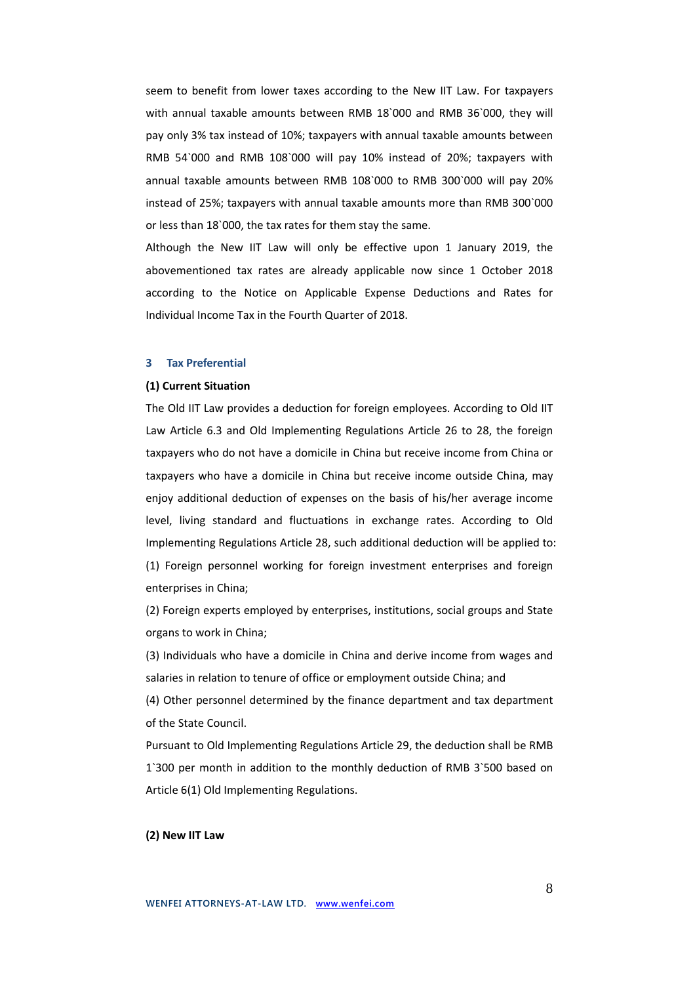seem to benefit from lower taxes according to the New IIT Law. For taxpayers with annual taxable amounts between RMB 18`000 and RMB 36`000, they will pay only 3% tax instead of 10%; taxpayers with annual taxable amounts between RMB 54`000 and RMB 108`000 will pay 10% instead of 20%; taxpayers with annual taxable amounts between RMB 108`000 to RMB 300`000 will pay 20% instead of 25%; taxpayers with annual taxable amounts more than RMB 300`000 or less than 18`000, the tax rates for them stay the same.

Although the New IIT Law will only be effective upon 1 January 2019, the abovementioned tax rates are already applicable now since 1 October 2018 according to the Notice on Applicable Expense Deductions and Rates for Individual Income Tax in the Fourth Quarter of 2018.

# **3 Tax Preferential**

# **(1) Current Situation**

The Old IIT Law provides a deduction for foreign employees. According to Old IIT Law Article 6.3 and Old Implementing Regulations Article 26 to 28, the foreign taxpayers who do not have a domicile in China but receive income from China or taxpayers who have a domicile in China but receive income outside China, may enjoy additional deduction of expenses on the basis of his/her average income level, living standard and fluctuations in exchange rates. According to Old Implementing Regulations Article 28, such additional deduction will be applied to: (1) Foreign personnel working for foreign investment enterprises and foreign enterprises in China;

(2) Foreign experts employed by enterprises, institutions, social groups and State organs to work in China;

(3) Individuals who have a domicile in China and derive income from wages and salaries in relation to tenure of office or employment outside China; and

(4) Other personnel determined by the finance department and tax department of the State Council.

Pursuant to Old Implementing Regulations Article 29, the deduction shall be RMB 1`300 per month in addition to the monthly deduction of RMB 3`500 based on Article 6(1) Old Implementing Regulations.

# **(2) New IIT Law**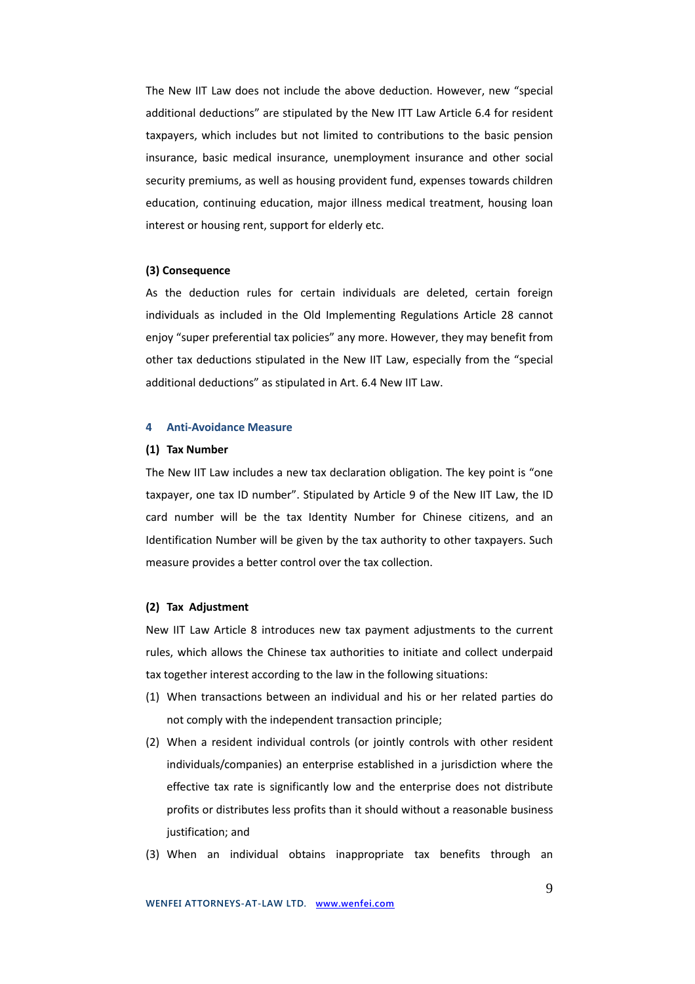The New IIT Law does not include the above deduction. However, new "special additional deductions" are stipulated by the New ITT Law Article 6.4 for resident taxpayers, which includes but not limited to contributions to the basic pension insurance, basic medical insurance, unemployment insurance and other social security premiums, as well as housing provident fund, expenses towards children education, continuing education, major illness medical treatment, housing loan interest or housing rent, support for elderly etc.

## **(3) Consequence**

As the deduction rules for certain individuals are deleted, certain foreign individuals as included in the Old Implementing Regulations Article 28 cannot enjoy "super preferential tax policies" any more. However, they may benefit from other tax deductions stipulated in the New IIT Law, especially from the "special additional deductions" as stipulated in Art. 6.4 New IIT Law.

# **4 Anti-Avoidance Measure**

## **(1) Tax Number**

The New IIT Law includes a new tax declaration obligation. The key point is "one taxpayer, one tax ID number". Stipulated by Article 9 of the New IIT Law, the ID card number will be the tax Identity Number for Chinese citizens, and an Identification Number will be given by the tax authority to other taxpayers. Such measure provides a better control over the tax collection.

# **(2) Tax Adjustment**

New IIT Law Article 8 introduces new tax payment adjustments to the current rules, which allows the Chinese tax authorities to initiate and collect underpaid tax together interest according to the law in the following situations:

- (1) When transactions between an individual and his or her related parties do not comply with the independent transaction principle;
- (2) When a resident individual controls (or jointly controls with other resident individuals/companies) an enterprise established in a jurisdiction where the effective tax rate is significantly low and the enterprise does not distribute profits or distributes less profits than it should without a reasonable business justification; and
- (3) When an individual obtains inappropriate tax benefits through an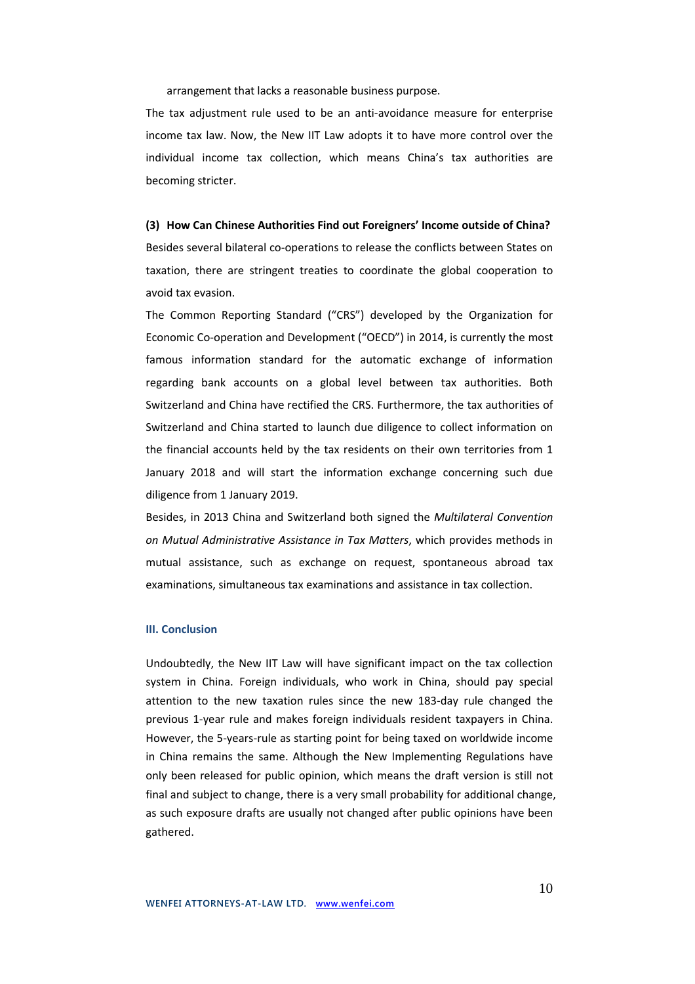arrangement that lacks a reasonable business purpose.

The tax adjustment rule used to be an anti-avoidance measure for enterprise income tax law. Now, the New IIT Law adopts it to have more control over the individual income tax collection, which means China's tax authorities are becoming stricter.

#### **(3) How Can Chinese Authorities Find out Foreigners' Income outside of China?**

Besides several bilateral co-operations to release the conflicts between States on taxation, there are stringent treaties to coordinate the global cooperation to avoid tax evasion.

The Common Reporting Standard ("CRS") developed by the Organization for Economic Co-operation and Development ("OECD") in 2014, is currently the most famous information standard for the automatic exchange of information regarding bank accounts on a global level between tax authorities. Both Switzerland and China have rectified the CRS. Furthermore, the tax authorities of Switzerland and China started to launch due diligence to collect information on the financial accounts held by the tax residents on their own territories from 1 January 2018 and will start the information exchange concerning such due diligence from 1 January 2019.

Besides, in 2013 China and Switzerland both signed the *Multilateral Convention on Mutual Administrative Assistance in Tax Matters*, which provides methods in mutual assistance, such as exchange on request, spontaneous abroad tax examinations, simultaneous tax examinations and assistance in tax collection.

## **III. Conclusion**

Undoubtedly, the New IIT Law will have significant impact on the tax collection system in China. Foreign individuals, who work in China, should pay special attention to the new taxation rules since the new 183-day rule changed the previous 1-year rule and makes foreign individuals resident taxpayers in China. However, the 5-years-rule as starting point for being taxed on worldwide income in China remains the same. Although the New Implementing Regulations have only been released for public opinion, which means the draft version is still not final and subject to change, there is a very small probability for additional change, as such exposure drafts are usually not changed after public opinions have been gathered.